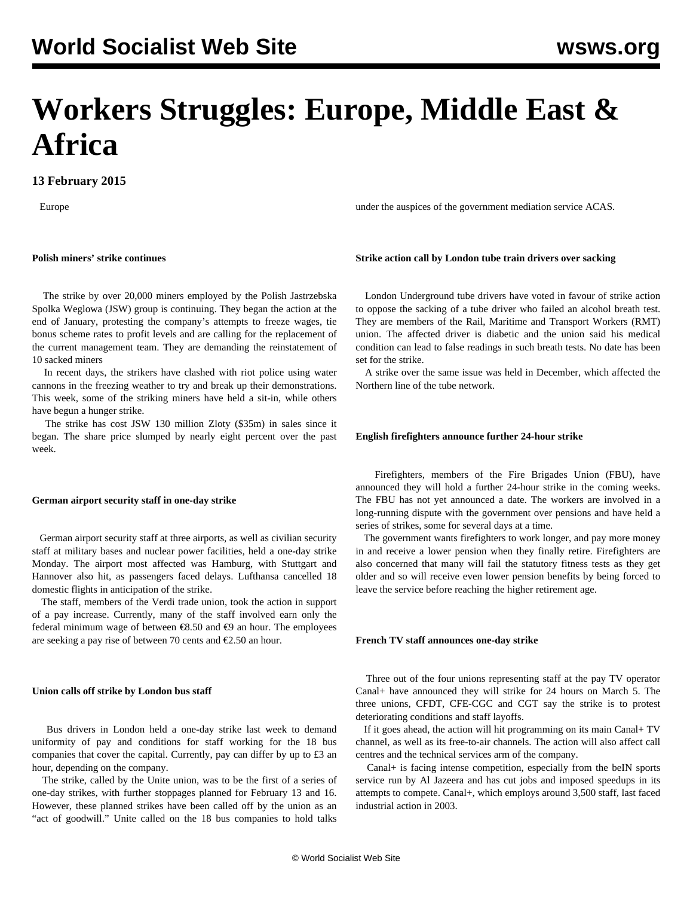# **Workers Struggles: Europe, Middle East & Africa**

# **13 February 2015**

Europe

# **Polish miners' strike continues**

 The strike by over 20,000 miners employed by the Polish Jastrzebska Spolka Weglowa (JSW) group is continuing. They began the action at the end of January, protesting the company's attempts to freeze wages, tie bonus scheme rates to profit levels and are calling for the replacement of the current management team. They are demanding the reinstatement of 10 sacked miners

 In recent days, the strikers have clashed with riot police using water cannons in the freezing weather to try and break up their demonstrations. This week, some of the striking miners have held a sit-in, while others have begun a hunger strike.

 The strike has cost JSW 130 million Zloty (\$35m) in sales since it began. The share price slumped by nearly eight percent over the past week.

#### **German airport security staff in one-day strike**

 German airport security staff at three airports, as well as civilian security staff at military bases and nuclear power facilities, held a one-day strike Monday. The airport most affected was Hamburg, with Stuttgart and Hannover also hit, as passengers faced delays. Lufthansa cancelled 18 domestic flights in anticipation of the strike.

 The staff, members of the Verdi trade union, took the action in support of a pay increase. Currently, many of the staff involved earn only the federal minimum wage of between €8.50 and €9 an hour. The employees are seeking a pay rise of between 70 cents and €2.50 an hour.

# **Union calls off strike by London bus staff**

 Bus drivers in London held a one-day strike last week to demand uniformity of pay and conditions for staff working for the 18 bus companies that cover the capital. Currently, pay can differ by up to £3 an hour, depending on the company.

 The strike, called by the Unite union, was to be the first of a series of one-day strikes, with further stoppages planned for February 13 and 16. However, these planned strikes have been called off by the union as an "act of goodwill." Unite called on the 18 bus companies to hold talks

under the auspices of the government mediation service ACAS.

# **Strike action call by London tube train drivers over sacking**

 London Underground tube drivers have voted in favour of strike action to oppose the sacking of a tube driver who failed an alcohol breath test. They are members of the Rail, Maritime and Transport Workers (RMT) union. The affected driver is diabetic and the union said his medical condition can lead to false readings in such breath tests. No date has been set for the strike.

 A strike over the same issue was held in December, which affected the Northern line of the tube network.

## **English firefighters announce further 24-hour strike**

 Firefighters, members of the Fire Brigades Union (FBU), have announced they will hold a further 24-hour strike in the coming weeks. The FBU has not yet announced a date. The workers are involved in a long-running dispute with the government over pensions and have held a series of strikes, some for several days at a time.

 The government wants firefighters to work longer, and pay more money in and receive a lower pension when they finally retire. Firefighters are also concerned that many will fail the statutory fitness tests as they get older and so will receive even lower pension benefits by being forced to leave the service before reaching the higher retirement age.

#### **French TV staff announces one-day strike**

 Three out of the four unions representing staff at the pay TV operator Canal+ have announced they will strike for 24 hours on March 5. The three unions, CFDT, CFE-CGC and CGT say the strike is to protest deteriorating conditions and staff layoffs.

 If it goes ahead, the action will hit programming on its main Canal+ TV channel, as well as its free-to-air channels. The action will also affect call centres and the technical services arm of the company.

 Canal+ is facing intense competition, especially from the beIN sports service run by Al Jazeera and has cut jobs and imposed speedups in its attempts to compete. Canal+, which employs around 3,500 staff, last faced industrial action in 2003.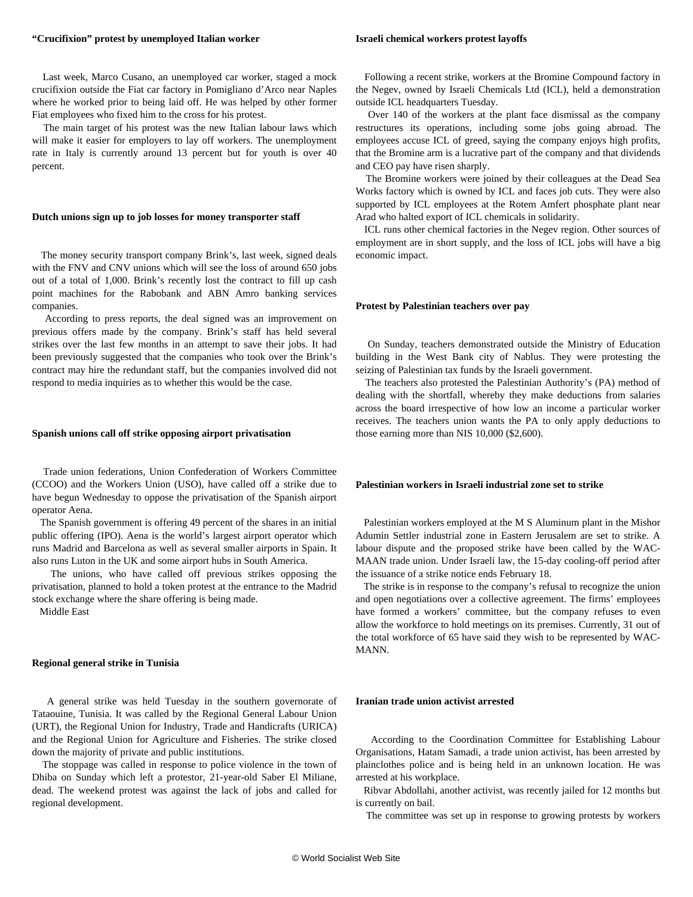#### **"Crucifixion" protest by unemployed Italian worker**

## **Israeli chemical workers protest layoffs**

 Last week, Marco Cusano, an unemployed car worker, staged a mock crucifixion outside the Fiat car factory in Pomigliano d'Arco near Naples where he worked prior to being laid off. He was helped by other former Fiat employees who fixed him to the cross for his protest.

 The main target of his protest was the new Italian labour laws which will make it easier for employers to lay off workers. The unemployment rate in Italy is currently around 13 percent but for youth is over 40 percent.

#### **Dutch unions sign up to job losses for money transporter staff**

 The money security transport company Brink's, last week, signed deals with the FNV and CNV unions which will see the loss of around 650 jobs out of a total of 1,000. Brink's recently lost the contract to fill up cash point machines for the Rabobank and ABN Amro banking services companies.

 According to press reports, the deal signed was an improvement on previous offers made by the company. Brink's staff has held several strikes over the last few months in an attempt to save their jobs. It had been previously suggested that the companies who took over the Brink's contract may hire the redundant staff, but the companies involved did not respond to media inquiries as to whether this would be the case.

# **Spanish unions call off strike opposing airport privatisation**

 Trade union federations, Union Confederation of Workers Committee (CCOO) and the Workers Union (USO), have called off a strike due to have begun Wednesday to oppose the privatisation of the Spanish airport operator Aena.

 The Spanish government is offering 49 percent of the shares in an initial public offering (IPO). Aena is the world's largest airport operator which runs Madrid and Barcelona as well as several smaller airports in Spain. It also runs Luton in the UK and some airport hubs in South America.

 The unions, who have called off previous strikes opposing the privatisation, planned to hold a token protest at the entrance to the Madrid stock exchange where the share offering is being made.

Middle East

#### **Regional general strike in Tunisia**

 A general strike was held Tuesday in the southern governorate of Tataouine, Tunisia. It was called by the Regional General Labour Union (URT), the Regional Union for Industry, Trade and Handicrafts (URICA) and the Regional Union for Agriculture and Fisheries. The strike closed down the majority of private and public institutions.

 The stoppage was called in response to police violence in the town of Dhiba on Sunday which left a protestor, 21-year-old Saber El Miliane, dead. The weekend protest was against the lack of jobs and called for regional development.

 Following a recent strike, workers at the Bromine Compound factory in the Negev, owned by Israeli Chemicals Ltd (ICL), held a demonstration outside ICL headquarters Tuesday.

 Over 140 of the workers at the plant face dismissal as the company restructures its operations, including some jobs going abroad. The employees accuse ICL of greed, saying the company enjoys high profits, that the Bromine arm is a lucrative part of the company and that dividends and CEO pay have risen sharply.

 The Bromine workers were joined by their colleagues at the Dead Sea Works factory which is owned by ICL and faces job cuts. They were also supported by ICL employees at the Rotem Amfert phosphate plant near Arad who halted export of ICL chemicals in solidarity.

 ICL runs other chemical factories in the Negev region. Other sources of employment are in short supply, and the loss of ICL jobs will have a big economic impact.

#### **Protest by Palestinian teachers over pay**

 On Sunday, teachers demonstrated outside the Ministry of Education building in the West Bank city of Nablus. They were protesting the seizing of Palestinian tax funds by the Israeli government.

 The teachers also protested the Palestinian Authority's (PA) method of dealing with the shortfall, whereby they make deductions from salaries across the board irrespective of how low an income a particular worker receives. The teachers union wants the PA to only apply deductions to those earning more than NIS 10,000 (\$2,600).

# **Palestinian workers in Israeli industrial zone set to strike**

 Palestinian workers employed at the M S Aluminum plant in the Mishor Adumin Settler industrial zone in Eastern Jerusalem are set to strike. A labour dispute and the proposed strike have been called by the WAC-MAAN trade union. Under Israeli law, the 15-day cooling-off period after the issuance of a strike notice ends February 18.

 The strike is in response to the company's refusal to recognize the union and open negotiations over a collective agreement. The firms' employees have formed a workers' committee, but the company refuses to even allow the workforce to hold meetings on its premises. Currently, 31 out of the total workforce of 65 have said they wish to be represented by WAC-MANN.

#### **Iranian trade union activist arrested**

 According to the Coordination Committee for Establishing Labour Organisations, Hatam Samadi, a trade union activist, has been arrested by plainclothes police and is being held in an unknown location. He was arrested at his workplace.

 Ribvar Abdollahi, another activist, was recently jailed for 12 months but is currently on bail.

The committee was set up in response to growing protests by workers